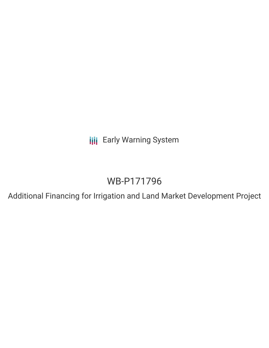**III** Early Warning System

# WB-P171796

Additional Financing for Irrigation and Land Market Development Project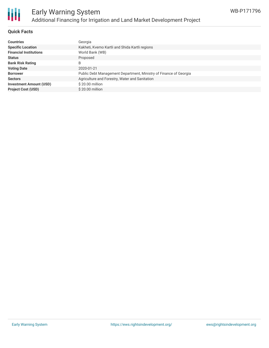

#### **Quick Facts**

| <b>Countries</b>               | Georgia                                                           |
|--------------------------------|-------------------------------------------------------------------|
| <b>Specific Location</b>       | Kakheti, Kvemo Kartli and Shida Kartli regions                    |
| <b>Financial Institutions</b>  | World Bank (WB)                                                   |
| <b>Status</b>                  | Proposed                                                          |
| <b>Bank Risk Rating</b>        | B                                                                 |
| <b>Voting Date</b>             | 2020-01-21                                                        |
| <b>Borrower</b>                | Public Debt Management Department, Ministry of Finance of Georgia |
| <b>Sectors</b>                 | Agriculture and Forestry, Water and Sanitation                    |
| <b>Investment Amount (USD)</b> | \$20.00 million                                                   |
| <b>Project Cost (USD)</b>      | \$20.00 million                                                   |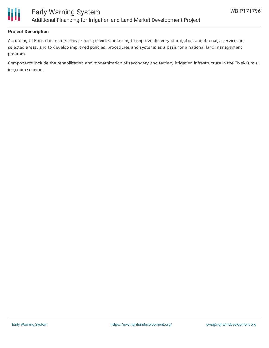

#### **Project Description**

According to Bank documents, this project provides financing to improve delivery of irrigation and drainage services in selected areas, and to develop improved policies, procedures and systems as a basis for a national land management program.

Components include the rehabilitation and modernization of secondary and tertiary irrigation infrastructure in the Tbisi-Kumisi irrigation scheme.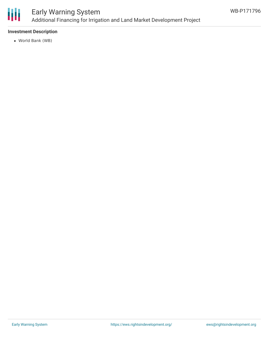

### Early Warning System Additional Financing for Irrigation and Land Market Development Project

#### **Investment Description**

World Bank (WB)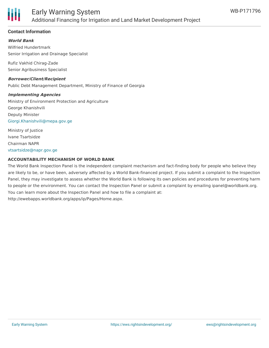

#### **Contact Information**

#### **World Bank**

Wilfried Hundertmark Senior Irrigation and Drainage Specialist

Rufiz Vakhid Chirag-Zade Senior Agribusiness Specialist

#### **Borrower/Client/Recipient**

Public Debt Management Department, Ministry of Finance of Georgia

#### **Implementing Agencies**

Ministry of Environment Protection and Agriculture George Khanishvili Deputy Minister [Giorgi.Khanishvili@mepa.gov.ge](mailto:Giorgi.Khanishvili@mepa.gov.ge)

Ministry of Justice Ivane Tsartsidze Chairman NAPR [vtsartsidze@napr.gov.ge](mailto:vtsartsidze@napr.gov.ge)

#### **ACCOUNTABILITY MECHANISM OF WORLD BANK**

The World Bank Inspection Panel is the independent complaint mechanism and fact-finding body for people who believe they are likely to be, or have been, adversely affected by a World Bank-financed project. If you submit a complaint to the Inspection Panel, they may investigate to assess whether the World Bank is following its own policies and procedures for preventing harm to people or the environment. You can contact the Inspection Panel or submit a complaint by emailing ipanel@worldbank.org. You can learn more about the Inspection Panel and how to file a complaint at: http://ewebapps.worldbank.org/apps/ip/Pages/Home.aspx.